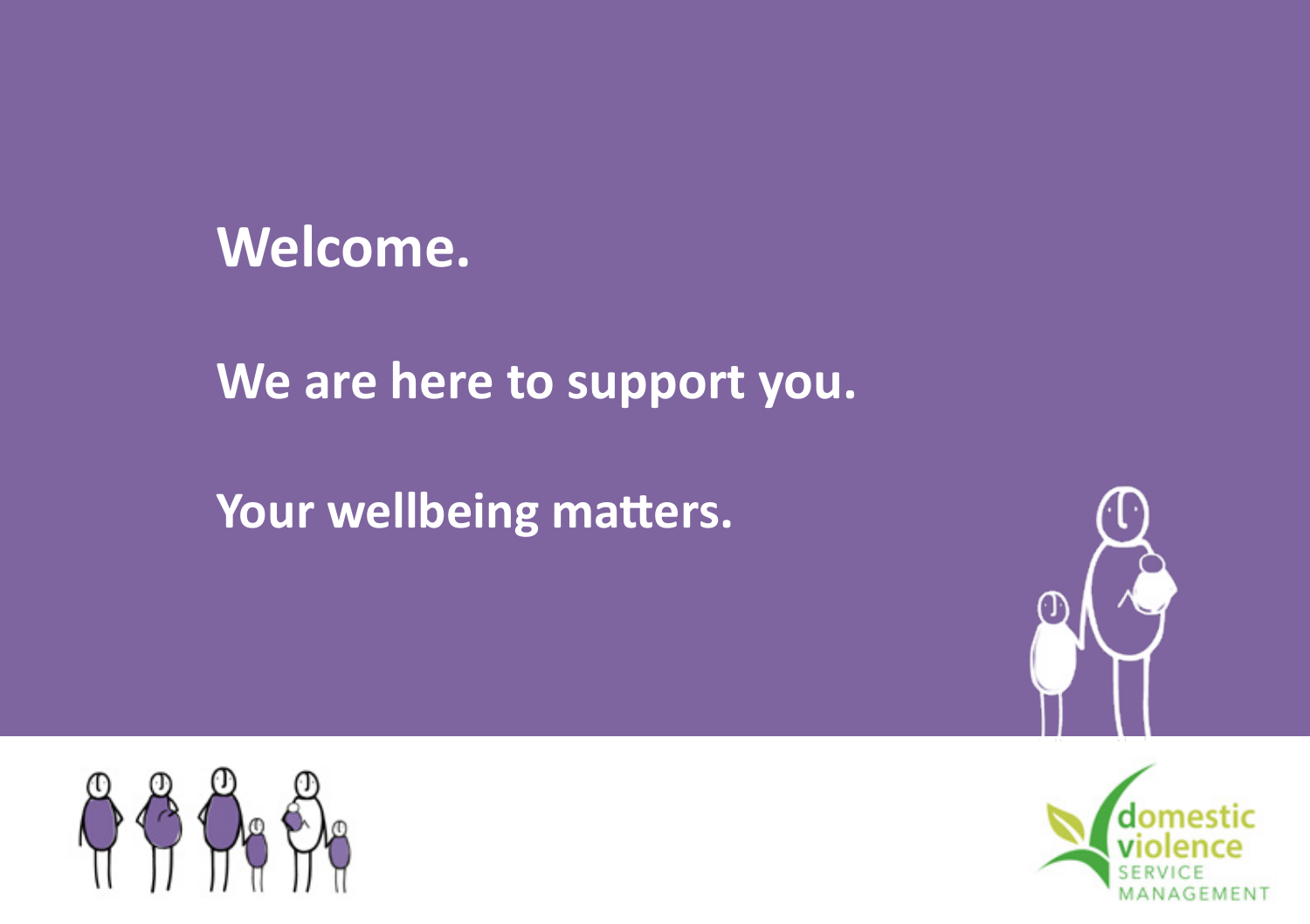

**We are here to support you.**

**Your wellbeing matters.**





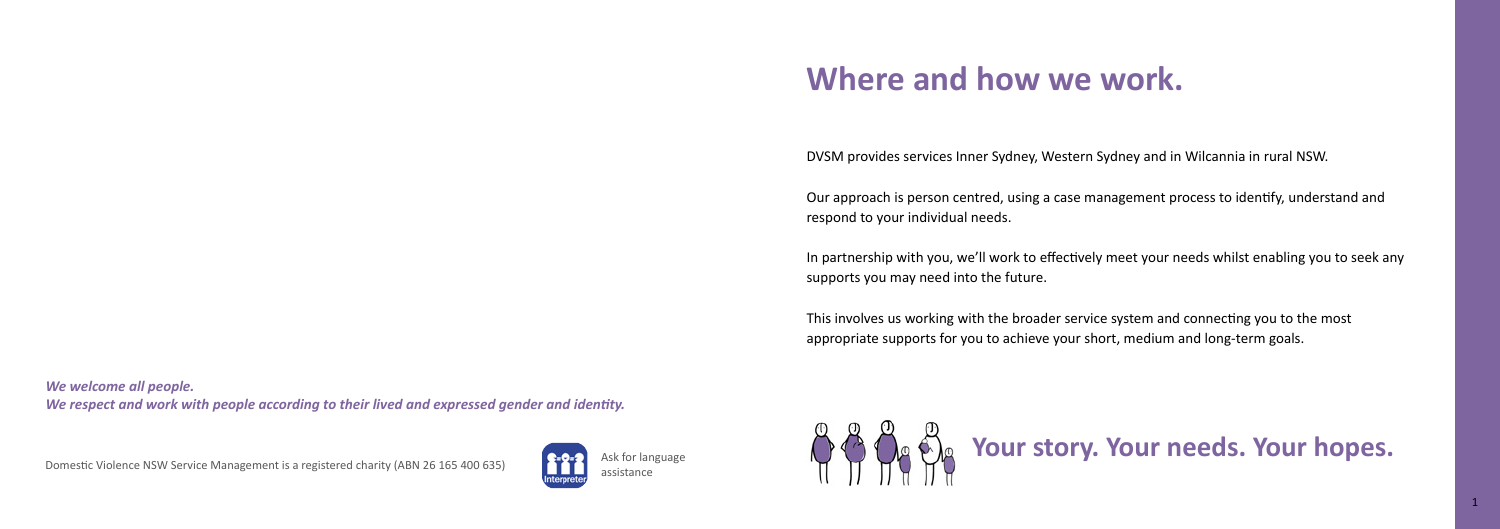DVSM provides services Inner Sydney, Western Sydney and in Wilcannia in rural NSW.

Our approach is person centred, using a case management process to identify, understand and respond to your individual needs.

In partnership with you, we'll work to effectively meet your needs whilst enabling you to seek any supports you may need into the future.

This involves us working with the broader service system and connecting you to the most appropriate supports for you to achieve your short, medium and long-term goals.

# **Where and how we work.**

*We welcome all people. We respect and work with people according to their lived and expressed gender and identity.*

Domestic Violence NSW Service Management is a registered charity (ABN 26 165 400 635)



Ask for language



# **A Of the Section Story. Your needs. Your hopes.**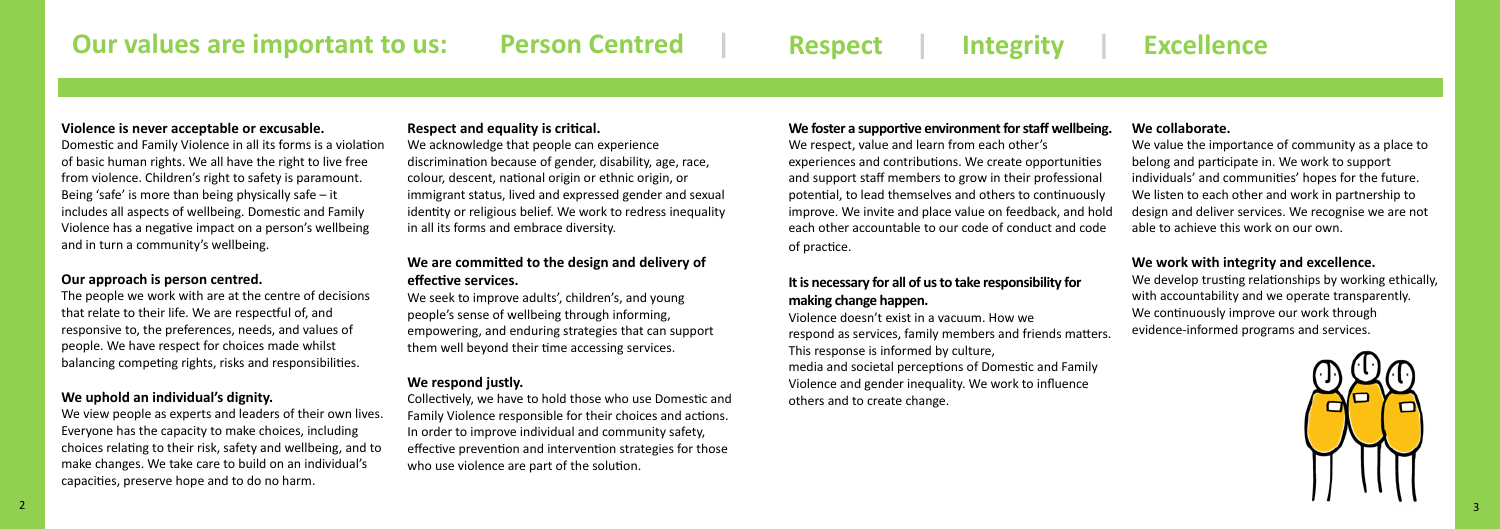#### **Violence is never acceptable or excusable.**

Domestic and Family Violence in all its forms is a violation of basic human rights. We all have the right to live free from violence. Children's right to safety is paramount. Being 'safe' is more than being physically safe – it includes all aspects of wellbeing. Domestic and Family Violence has a negative impact on a person's wellbeing and in turn a community's wellbeing.

#### **Our approach is person centred.**

The people we work with are at the centre of decisions that relate to their life. We are respectful of, and responsive to, the preferences, needs, and values of people. We have respect for choices made whilst balancing competing rights, risks and responsibilities.

#### **We uphold an individual's dignity.**

We view people as experts and leaders of their own lives. Everyone has the capacity to make choices, including choices relating to their risk, safety and wellbeing, and to make changes. We take care to build on an individual's capacities, preserve hope and to do no harm.

**Our principles are our values applied:**

#### **Respect and equality is critical.**

We develop trusting relationships by working ethically, with accountability and we operate transparently. We continuously improve our work through evidence-informed programs and services.



We acknowledge that people can experience discrimination because of gender, disability, age, race, colour, descent, national origin or ethnic origin, or immigrant status, lived and expressed gender and sexual identity or religious belief. We work to redress inequality in all its forms and embrace diversity.

#### **We are committed to the design and delivery of effective services.**

We seek to improve adults', children's, and young people's sense of wellbeing through informing, empowering, and enduring strategies that can support them well beyond their time accessing services.

#### **We respond justly.**

Collectively, we have to hold those who use Domestic and Family Violence responsible for their choices and actions. In order to improve individual and community safety, effective prevention and intervention strategies for those who use violence are part of the solution.

### **We collaborate.**

We value the importance of community as a place to belong and participate in. We work to support individuals' and communities' hopes for the future. We listen to each other and work in partnership to design and deliver services. We recognise we are not able to achieve this work on our own.

### **We work with integrity and excellence.**

# **Respect | Integrity | Excellence**

#### **We foster a supportive environment for staff wellbeing.**

We respect, value and learn from each other's experiences and contributions. We create opportunities and support staff members to grow in their professional potential, to lead themselves and others to continuously improve. We invite and place value on feedback, and hold each other accountable to our code of conduct and code of practice.

### **It is necessary for all of us to take responsibility for making change happen.**

Violence doesn't exist in a vacuum. How we respond as services, family members and friends matters. This response is informed by culture, media and societal perceptions of Domestic and Family Violence and gender inequality. We work to influence others and to create change.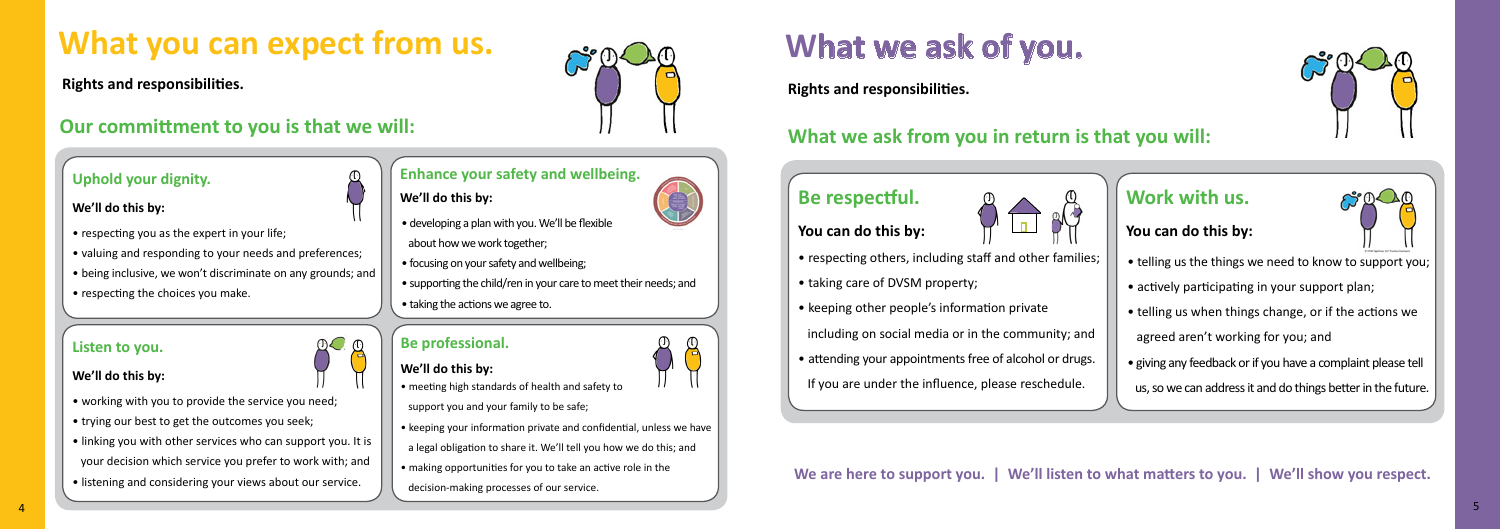# **What you can expect from us.**

**Rights and responsibilities.**

## **Our committment to you is that we will:**

- respecting you as the expert in your life;
- valuing and responding to your needs and preferences;
- being inclusive, we won't discriminate on any grounds; and
- respecting the choices you make.



- developing a plan with you. We'll be flexible about how we work together;
- focusing on your safety and wellbeing;
- supporting the child/ren in your care to meet their needs; and
- taking the actions we agree to.

### **Enhance your safety and wellbeing.**

## **We'll do this by: We'll do this by:**

- **We'll do this by:**  $\prod_{\text{v}}$  we **n** do this by.
	- support you and your family to be safe;
	- keeping your information private and confidential, unless we have
	- a legal obligation to share it. We'll tell you how we do this; and
	- making opportunities for you to take an active role in the
	- decision-making processes of our service.
- working with you to provide the service you need;
- trying our best to get the outcomes you seek;
- linking you with other services who can support you. It is your decision which service you prefer to work with; and
- listening and considering your views about our service.

#### **Listen to you.**

## **Be professional.**

#### **We'll do this by:**



## **Be** r



**Rights and responsibilities.**

# **What we ask of you.**

# **What we ask from you in return is that you will:**

| Be respectful.                                           | Work with us.              |
|----------------------------------------------------------|----------------------------|
| You can do this by:                                      | You can do this by:        |
| • respecting others, including staff and other families; | • telling us the things w  |
| • taking care of DVSM property;                          | • actively participating   |
| • keeping other people's information private             | • telling us when thing    |
| including on social media or in the community; and       | agreed aren't working      |
| • attending your appointments free of alcohol or drugs.  | • giving any feedback or i |
| If you are under the influence, please reschedule.       | us, so we can address it   |
|                                                          |                            |

- telling us the things we need to know to support you;
- actively participating in your support plan;
- telling us when things change, or if the actions we
- agreed aren't working for you; and
- giving any feedback or if you have a complaint please tell
- us, so we can address it and do things better in the future.

## **Work with us.**



**We are here to support you. | We'll listen to what matters to you. | We'll show you respect.**

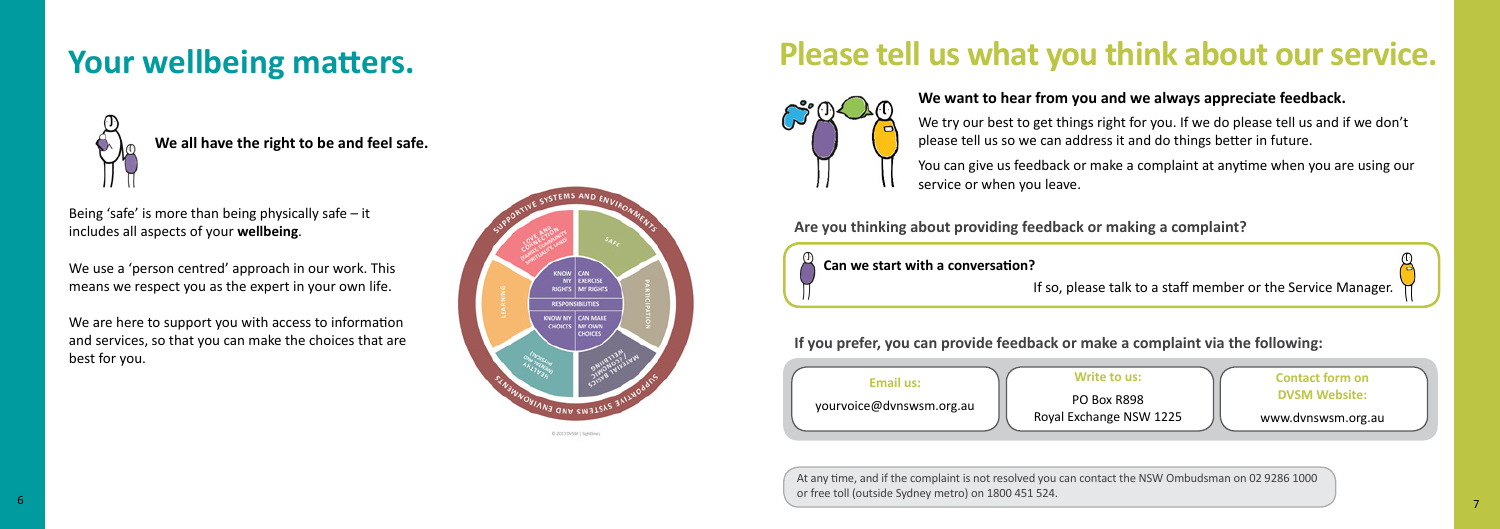# **Please tell us what you think about our service.**



### **We want to hear from you and we always appreciate feedback.**

We try our best to get things right for you. If we do please tell us and if we don't please tell us so we can address it and do things better in future.

You can give us feedback or make a complaint at anytime when you are using our service or when you leave.

At any time, and if the complaint is not resolved you can contact the NSW Ombudsman on 02 9286 1000 or free toll (outside Sydney metro) on 1800 451 524.

**Can we start with a conversation?**

**Are you thinking about providing feedback or making a complaint?**



| Email us:                | Write to us:                      |
|--------------------------|-----------------------------------|
| yourvoice@dvnswsm.org.au | PO Box R898<br>Royal Exchange NSW |

**If you prefer, you can provide feedback or make a complaint via the following:**

**We all have the right to be and feel safe.** 

# **Your wellbeing matters.**



Being 'safe' is more than being physically safe – it includes all aspects of your **wellbeing**.

We use a 'person centred' approach in our work. This means we respect you as the expert in your own life.

We are here to support you with access to information and services, so that you can make the choices that are best for you.

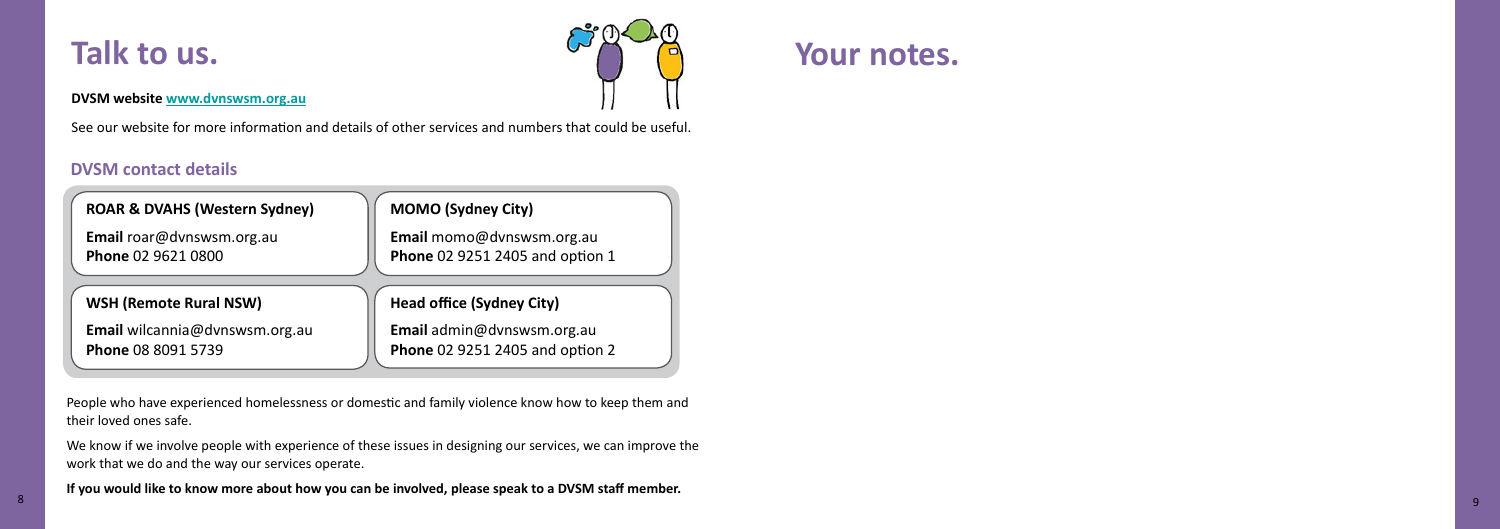# **Talk to us.**

### **DVSM website www.dvnswsm.org.au**

See our website for more information and details of other services and numbers that could be useful.

### **DVSM contact details**



People who have experienced homelessness or domestic and family violence know how to keep them and their loved ones safe.

We know if we involve people with experience of these issues in designing our services, we can improve the work that we do and the way our services operate.

**If you would like to know more about how you can be involved, please speak to a DVSM staff member.** <sup>8</sup>

**Your notes.**

9